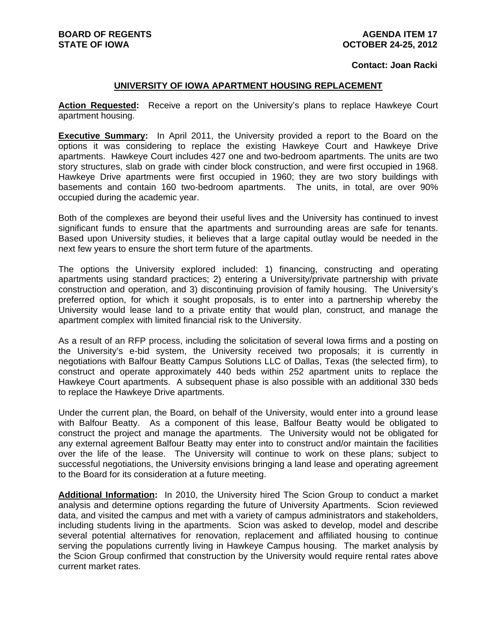## **Contact: Joan Racki**

## **UNIVERSITY OF IOWA APARTMENT HOUSING REPLACEMENT**

**Action Requested:** Receive a report on the University's plans to replace Hawkeye Court apartment housing.

**Executive Summary:** In April 2011, the University provided a report to the Board on the options it was considering to replace the existing Hawkeye Court and Hawkeye Drive apartments. Hawkeye Court includes 427 one and two-bedroom apartments. The units are two story structures, slab on grade with cinder block construction, and were first occupied in 1968. Hawkeye Drive apartments were first occupied in 1960; they are two story buildings with basements and contain 160 two-bedroom apartments. The units, in total, are over 90% occupied during the academic year.

Both of the complexes are beyond their useful lives and the University has continued to invest significant funds to ensure that the apartments and surrounding areas are safe for tenants. Based upon University studies, it believes that a large capital outlay would be needed in the next few years to ensure the short term future of the apartments.

The options the University explored included: 1) financing, constructing and operating apartments using standard practices; 2) entering a University/private partnership with private construction and operation, and 3) discontinuing provision of family housing. The University's preferred option, for which it sought proposals, is to enter into a partnership whereby the University would lease land to a private entity that would plan, construct, and manage the apartment complex with limited financial risk to the University.

As a result of an RFP process, including the solicitation of several Iowa firms and a posting on the University's e-bid system, the University received two proposals; it is currently in negotiations with Balfour Beatty Campus Solutions LLC of Dallas, Texas (the selected firm), to construct and operate approximately 440 beds within 252 apartment units to replace the Hawkeye Court apartments. A subsequent phase is also possible with an additional 330 beds to replace the Hawkeye Drive apartments.

Under the current plan, the Board, on behalf of the University, would enter into a ground lease with Balfour Beatty. As a component of this lease, Balfour Beatty would be obligated to construct the project and manage the apartments. The University would not be obligated for any external agreement Balfour Beatty may enter into to construct and/or maintain the facilities over the life of the lease. The University will continue to work on these plans; subject to successful negotiations, the University envisions bringing a land lease and operating agreement to the Board for its consideration at a future meeting.

**Additional Information:** In 2010, the University hired The Scion Group to conduct a market analysis and determine options regarding the future of University Apartments. Scion reviewed data, and visited the campus and met with a variety of campus administrators and stakeholders, including students living in the apartments. Scion was asked to develop, model and describe several potential alternatives for renovation, replacement and affiliated housing to continue serving the populations currently living in Hawkeye Campus housing. The market analysis by the Scion Group confirmed that construction by the University would require rental rates above current market rates.